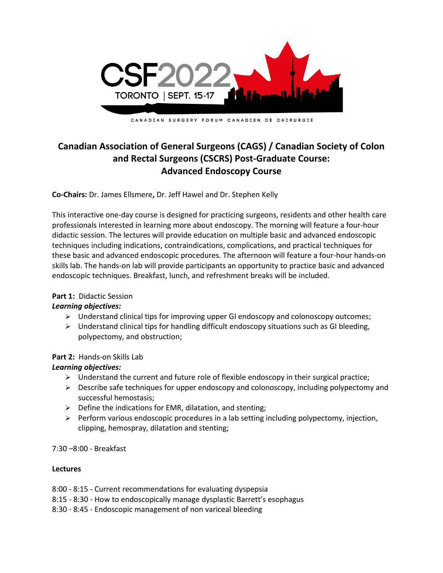

## **Canadian Association of General Surgeons (CAGS) / Canadian Society of Colon and Rectal Surgeons (CSCRS) Post-Graduate Course: Advanced Endoscopy Course**

**Co-Chairs:** Dr. James Ellsmere**,** Dr. Jeff Hawel and Dr. Stephen Kelly

This interactive one-day course is designed for practicing surgeons, residents and other health care professionals interested in learning more about endoscopy. The morning will feature a four-hour didactic session. The lectures will provide education on multiple basic and advanced endoscopic techniques including indications, contraindications, complications, and practical techniques for these basic and advanced endoscopic procedures. The afternoon will feature a four-hour hands-on skills lab. The hands-on lab will provide participants an opportunity to practice basic and advanced endoscopic techniques. Breakfast, lunch, and refreshment breaks will be included.

## **Part 1:** Didactic Session

## *Learning objectives:*

- $\triangleright$  Understand clinical tips for improving upper GI endoscopy and colonoscopy outcomes;
- $\triangleright$  Understand clinical tips for handling difficult endoscopy situations such as GI bleeding, polypectomy, and obstruction;

## **Part 2:** Hands-on Skills Lab

## *Learning objectives:*

- $\triangleright$  Understand the current and future role of flexible endoscopy in their surgical practice;
- $\triangleright$  Describe safe techniques for upper endoscopy and colonoscopy, including polypectomy and successful hemostasis;
- $\triangleright$  Define the indications for EMR, dilatation, and stenting;
- $\triangleright$  Perform various endoscopic procedures in a lab setting including polypectomy, injection, clipping, hemospray, dilatation and stenting;

7:30 –8:00 - Breakfast

## **Lectures**

- 8:00 8:15 Current recommendations for evaluating dyspepsia
- 8:15 8:30 How to endoscopically manage dysplastic Barrett's esophagus
- 8:30 8:45 Endoscopic management of non variceal bleeding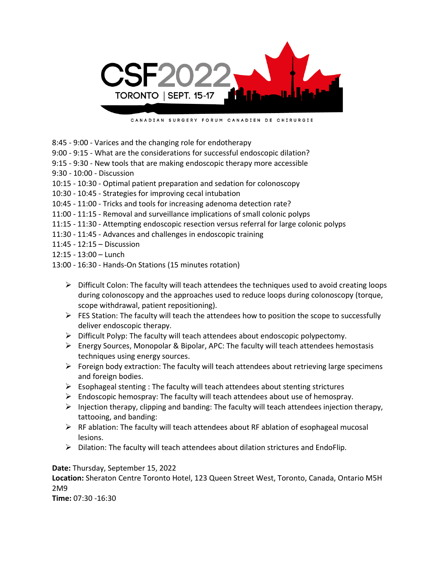

CANADIAN SURGERY FORUM CANADIEN DE CHIRURGIE

- 8:45 9:00 Varices and the changing role for endotherapy
- 9:00 9:15 What are the considerations for successful endoscopic dilation?
- 9:15 9:30 New tools that are making endoscopic therapy more accessible
- 9:30 10:00 Discussion
- 10:15 10:30 Optimal patient preparation and sedation for colonoscopy
- 10:30 10:45 Strategies for improving cecal intubation
- 10:45 11:00 Tricks and tools for increasing adenoma detection rate?
- 11:00 11:15 Removal and surveillance implications of small colonic polyps
- 11:15 11:30 Attempting endoscopic resection versus referral for large colonic polyps
- 11:30 11:45 Advances and challenges in endoscopic training
- 11:45 12:15 Discussion
- 12:15 13:00 Lunch
- 13:00 16:30 Hands-On Stations (15 minutes rotation)
	- $\triangleright$  Difficult Colon: The faculty will teach attendees the techniques used to avoid creating loops during colonoscopy and the approaches used to reduce loops during colonoscopy (torque, scope withdrawal, patient repositioning).
	- $\triangleright$  FES Station: The faculty will teach the attendees how to position the scope to successfully deliver endoscopic therapy.
	- $\triangleright$  Difficult Polyp: The faculty will teach attendees about endoscopic polypectomy.
	- ➢ Energy Sources, Monopolar & Bipolar, APC: The faculty will teach attendees hemostasis techniques using energy sources.
	- ➢ Foreign body extraction: The faculty will teach attendees about retrieving large specimens and foreign bodies.
	- $\triangleright$  Esophageal stenting : The faculty will teach attendees about stenting strictures
	- ➢ Endoscopic hemospray: The faculty will teach attendees about use of hemospray.
	- $\triangleright$  Injection therapy, clipping and banding: The faculty will teach attendees injection therapy, tattooing, and banding:
	- $\triangleright$  RF ablation: The faculty will teach attendees about RF ablation of esophageal mucosal lesions.
	- ➢ Dilation: The faculty will teach attendees about dilation strictures and EndoFlip.

**Date:** Thursday, September 15, 2022

**Location:** Sheraton Centre Toronto Hotel, 123 Queen Street West, Toronto, Canada, Ontario M5H 2M9

**Time:** 07:30 -16:30